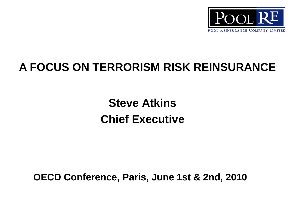

## **A FOCUS ON TERRORISM RISK REINSURANCE**

**Steve Atkins Chief Executive** 

**OECD Conference, Paris, June 1st & 2nd, 2010**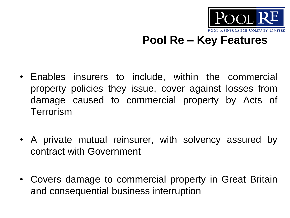

### **Pool Re – Key Features**

- Enables insurers to include, within the commercial property policies they issue, cover against losses from damage caused to commercial property by Acts of **Terrorism**
- A private mutual reinsurer, with solvency assured by contract with Government
- Covers damage to commercial property in Great Britain and consequential business interruption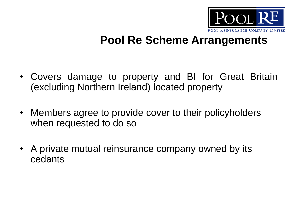

### **Pool Re Scheme Arrangements**

- Covers damage to property and BI for Great Britain (excluding Northern Ireland) located property
- Members agree to provide cover to their policyholders when requested to do so
- A private mutual reinsurance company owned by its cedants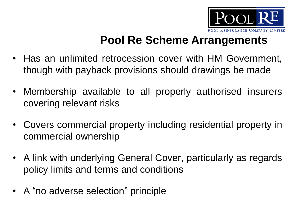

## **Pool Re Scheme Arrangements**

- Has an unlimited retrocession cover with HM Government, though with payback provisions should drawings be made
- Membership available to all properly authorised insurers covering relevant risks
- Covers commercial property including residential property in commercial ownership
- A link with underlying General Cover, particularly as regards policy limits and terms and conditions
- A "no adverse selection" principle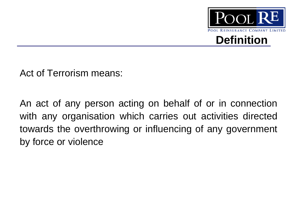

Act of Terrorism means:

An act of any person acting on behalf of or in connection with any organisation which carries out activities directed towards the overthrowing or influencing of any government by force or violence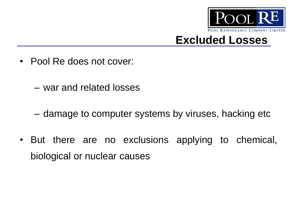

#### **Excluded Losses**

- Pool Re does not cover:
	- war and related losses
	- damage to computer systems by viruses, hacking etc
- But there are no exclusions applying to chemical, biological or nuclear causes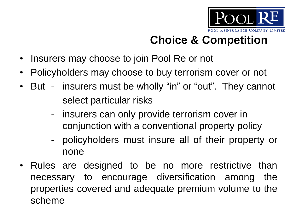

# **Choice & Competition**

- Insurers may choose to join Pool Re or not
- Policyholders may choose to buy terrorism cover or not
- But insurers must be wholly "in" or "out". They cannot select particular risks
	- insurers can only provide terrorism cover in conjunction with a conventional property policy
	- policyholders must insure all of their property or none
- Rules are designed to be no more restrictive than necessary to encourage diversification among the properties covered and adequate premium volume to the scheme